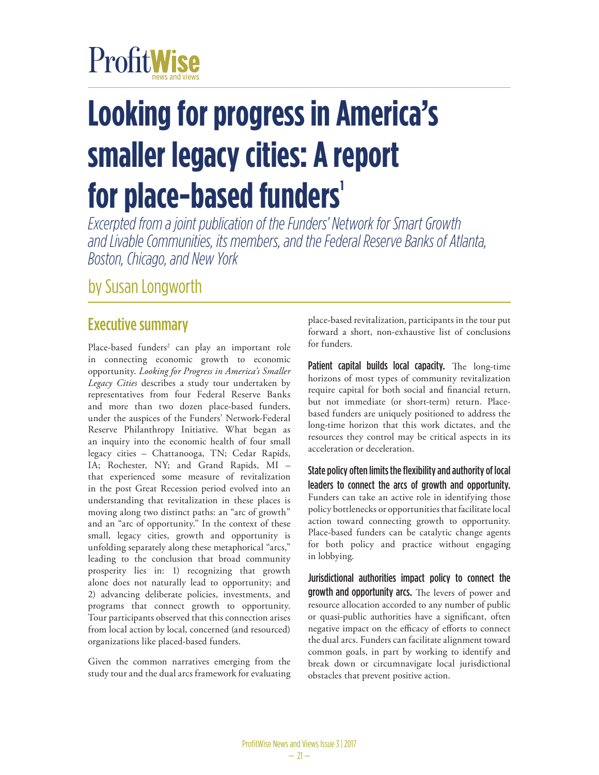# ProfitWise

# **Looking for progress in America's smaller legacy cities: A report**  for place-based funders'

*Excerpted from a joint publication of the Funders' Network for Smart Growth and Livable Communities, its members, and the Federal Reserve Banks of Atlanta, Boston, Chicago, and New York*

by Susan Longworth

# Executive summary

Place-based funders<sup>2</sup> can play an important role in connecting economic growth to economic opportunity. *Looking for Progress in America's Smaller Legacy Cities* describes a study tour undertaken by representatives from four Federal Reserve Banks and more than two dozen place-based funders, under the auspices of the Funders' Network-Federal Reserve Philanthropy Initiative. What began as an inquiry into the economic health of four small legacy cities – Chattanooga, TN; Cedar Rapids, IA; Rochester, NY; and Grand Rapids, MI – that experienced some measure of revitalization in the post Great Recession period evolved into an understanding that revitalization in these places is moving along two distinct paths: an "arc of growth" and an "arc of opportunity." In the context of these small, legacy cities, growth and opportunity is unfolding separately along these metaphorical "arcs," leading to the conclusion that broad community prosperity lies in: 1) recognizing that growth alone does not naturally lead to opportunity; and 2) advancing deliberate policies, investments, and programs that connect growth to opportunity. Tour participants observed that this connection arises from local action by local, concerned (and resourced) organizations like placed-based funders.

Given the common narratives emerging from the study tour and the dual arcs framework for evaluating

place-based revitalization, participants in the tour put forward a short, non-exhaustive list of conclusions for funders.

Patient capital builds local capacity. The long-time horizons of most types of community revitalization require capital for both social and financial return, but not immediate (or short-term) return. Placebased funders are uniquely positioned to address the long-time horizon that this work dictates, and the resources they control may be critical aspects in its acceleration or deceleration.

State policy often limits the flexibility and authority of local leaders to connect the arcs of growth and opportunity. Funders can take an active role in identifying those policy bottlenecks or opportunities that facilitate local action toward connecting growth to opportunity. Place-based funders can be catalytic change agents for both policy and practice without engaging in lobbying.

Jurisdictional authorities impact policy to connect the growth and opportunity arcs. The levers of power and resource allocation accorded to any number of public or quasi-public authorities have a significant, often negative impact on the efficacy of efforts to connect the dual arcs. Funders can facilitate alignment toward common goals, in part by working to identify and break down or circumnavigate local jurisdictional obstacles that prevent positive action.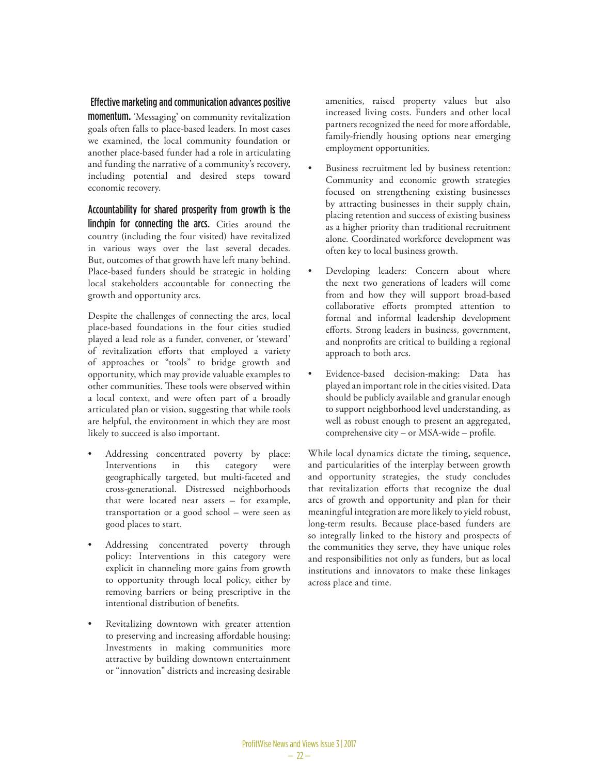#### Effective marketing and communication advances positive

momentum. 'Messaging' on community revitalization goals often falls to place-based leaders. In most cases we examined, the local community foundation or another place-based funder had a role in articulating and funding the narrative of a community's recovery, including potential and desired steps toward economic recovery.

Accountability for shared prosperity from growth is the linchpin for connecting the arcs. Cities around the country (including the four visited) have revitalized in various ways over the last several decades. But, outcomes of that growth have left many behind. Place-based funders should be strategic in holding local stakeholders accountable for connecting the growth and opportunity arcs.

Despite the challenges of connecting the arcs, local place-based foundations in the four cities studied played a lead role as a funder, convener, or 'steward' of revitalization efforts that employed a variety of approaches or "tools" to bridge growth and opportunity, which may provide valuable examples to other communities. These tools were observed within a local context, and were often part of a broadly articulated plan or vision, suggesting that while tools are helpful, the environment in which they are most likely to succeed is also important.

- Addressing concentrated poverty by place: Interventions in this category were geographically targeted, but multi-faceted and cross-generational. Distressed neighborhoods that were located near assets – for example, transportation or a good school – were seen as good places to start.
- Addressing concentrated poverty through policy: Interventions in this category were explicit in channeling more gains from growth to opportunity through local policy, either by removing barriers or being prescriptive in the intentional distribution of benefits.
- Revitalizing downtown with greater attention to preserving and increasing affordable housing: Investments in making communities more attractive by building downtown entertainment or "innovation" districts and increasing desirable

amenities, raised property values but also increased living costs. Funders and other local partners recognized the need for more affordable, family-friendly housing options near emerging employment opportunities.

- Business recruitment led by business retention: Community and economic growth strategies focused on strengthening existing businesses by attracting businesses in their supply chain, placing retention and success of existing business as a higher priority than traditional recruitment alone. Coordinated workforce development was often key to local business growth.
- Developing leaders: Concern about where the next two generations of leaders will come from and how they will support broad-based collaborative efforts prompted attention to formal and informal leadership development efforts. Strong leaders in business, government, and nonprofits are critical to building a regional approach to both arcs.
- Evidence-based decision-making: Data has played an important role in the cities visited. Data should be publicly available and granular enough to support neighborhood level understanding, as well as robust enough to present an aggregated, comprehensive city – or MSA-wide – profile.

While local dynamics dictate the timing, sequence, and particularities of the interplay between growth and opportunity strategies, the study concludes that revitalization efforts that recognize the dual arcs of growth and opportunity and plan for their meaningful integration are more likely to yield robust, long-term results. Because place-based funders are so integrally linked to the history and prospects of the communities they serve, they have unique roles and responsibilities not only as funders, but as local institutions and innovators to make these linkages across place and time.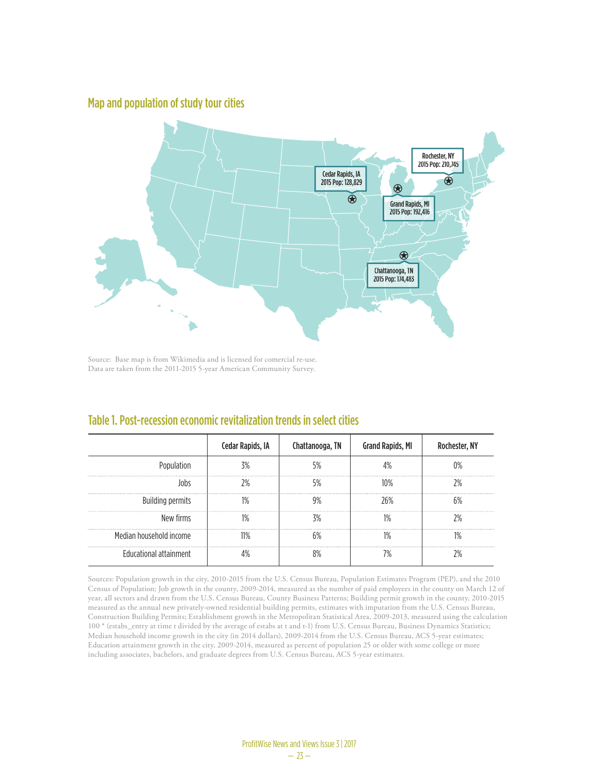#### Map and population of study tour cities



Source: Base map is from Wikimedia and is licensed for comercial re-use. Data are taken from the 2011-2015 5-year American Community Survey.

|                               | Cedar Rapids, IA | Chattanooga, TN | <b>Grand Rapids, MI</b> | Rochester, NY |
|-------------------------------|------------------|-----------------|-------------------------|---------------|
| Population                    |                  |                 |                         |               |
|                               |                  |                 |                         |               |
| <b>Building permits</b>       |                  |                 | '6%                     |               |
| New firms                     |                  |                 |                         |               |
| Median household income       |                  |                 |                         |               |
| <b>Educational attainment</b> |                  |                 |                         |               |

#### Table 1. Post-recession economic revitalization trends in select cities

Sources: Population growth in the city, 2010-2015 from the U.S. Census Bureau, Population Estimates Program (PEP), and the 2010 Census of Population; Job growth in the county, 2009-2014, measured as the number of paid employees in the county on March 12 of year, all sectors and drawn from the U.S. Census Bureau, County Business Patterns; Building permit growth in the county, 2010-2015 measured as the annual new privately-owned residential building permits, estimates with imputation from the U.S. Census Bureau, Construction Building Permits; Establishment growth in the Metropolitan Statistical Area, 2009-2013, measured using the calculation 100 \* (estabs\_entry at time t divided by the average of estabs at t and t-1) from U.S. Census Bureau, Business Dynamics Statistics; Median household income growth in the city (in 2014 dollars), 2009-2014 from the U.S. Census Bureau, ACS 5-year estimates; Education attainment growth in the city, 2009-2014, measured as percent of population 25 or older with some college or more including associates, bachelors, and graduate degrees from U.S. Census Bureau, ACS 5-year estimates.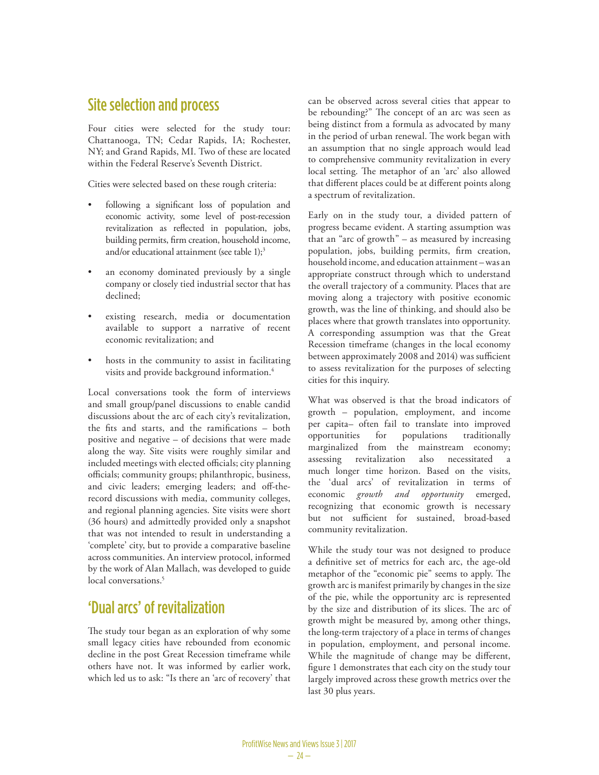### Site selection and process

Four cities were selected for the study tour: Chattanooga, TN; Cedar Rapids, IA; Rochester, NY; and Grand Rapids, MI. Two of these are located within the Federal Reserve's Seventh District.

Cities were selected based on these rough criteria:

- following a significant loss of population and economic activity, some level of post-recession revitalization as reflected in population, jobs, building permits, firm creation, household income, and/or educational attainment (see table 1);3
- an economy dominated previously by a single company or closely tied industrial sector that has declined;
- existing research, media or documentation available to support a narrative of recent economic revitalization; and
- hosts in the community to assist in facilitating visits and provide background information.<sup>4</sup>

Local conversations took the form of interviews and small group/panel discussions to enable candid discussions about the arc of each city's revitalization, the fits and starts, and the ramifications – both positive and negative – of decisions that were made along the way. Site visits were roughly similar and included meetings with elected officials; city planning officials; community groups; philanthropic, business, and civic leaders; emerging leaders; and off-therecord discussions with media, community colleges, and regional planning agencies. Site visits were short (36 hours) and admittedly provided only a snapshot that was not intended to result in understanding a 'complete' city, but to provide a comparative baseline across communities. An interview protocol, informed by the work of Alan Mallach, was developed to guide local conversations.<sup>5</sup>

# 'Dual arcs' of revitalization

The study tour began as an exploration of why some small legacy cities have rebounded from economic decline in the post Great Recession timeframe while others have not. It was informed by earlier work, which led us to ask: "Is there an 'arc of recovery' that can be observed across several cities that appear to be rebounding?" The concept of an arc was seen as being distinct from a formula as advocated by many in the period of urban renewal. The work began with an assumption that no single approach would lead to comprehensive community revitalization in every local setting. The metaphor of an 'arc' also allowed that different places could be at different points along a spectrum of revitalization.

Early on in the study tour, a divided pattern of progress became evident. A starting assumption was that an "arc of growth" – as measured by increasing population, jobs, building permits, firm creation, household income, and education attainment – was an appropriate construct through which to understand the overall trajectory of a community. Places that are moving along a trajectory with positive economic growth, was the line of thinking, and should also be places where that growth translates into opportunity. A corresponding assumption was that the Great Recession timeframe (changes in the local economy between approximately 2008 and 2014) was sufficient to assess revitalization for the purposes of selecting cities for this inquiry.

What was observed is that the broad indicators of growth – population, employment, and income per capita– often fail to translate into improved opportunities for populations traditionally marginalized from the mainstream economy; assessing revitalization also necessitated much longer time horizon. Based on the visits, the 'dual arcs' of revitalization in terms of economic *growth and opportunity* emerged, recognizing that economic growth is necessary but not sufficient for sustained, broad-based community revitalization.

While the study tour was not designed to produce a definitive set of metrics for each arc, the age-old metaphor of the "economic pie" seems to apply. The growth arc is manifest primarily by changes in the size of the pie, while the opportunity arc is represented by the size and distribution of its slices. The arc of growth might be measured by, among other things, the long-term trajectory of a place in terms of changes in population, employment, and personal income. While the magnitude of change may be different, figure 1 demonstrates that each city on the study tour largely improved across these growth metrics over the last 30 plus years.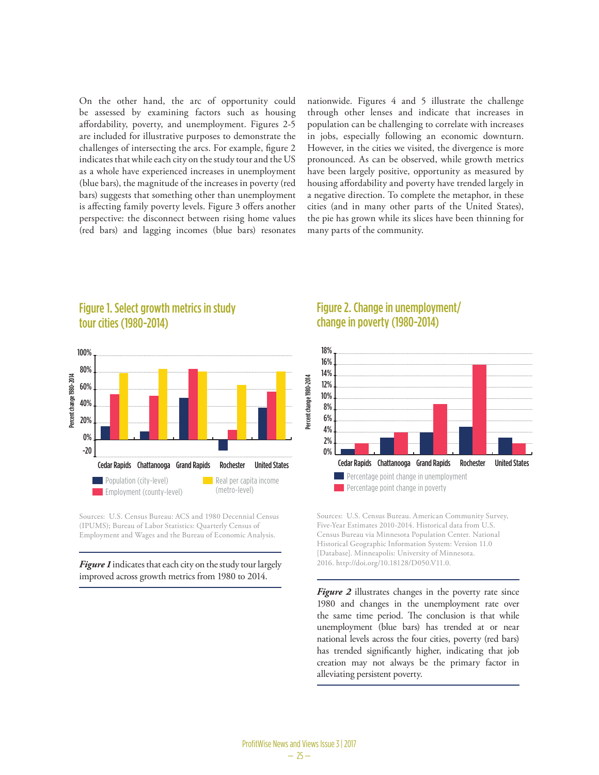On the other hand, the arc of opportunity could be assessed by examining factors such as housing affordability, poverty, and unemployment. Figures 2-5 are included for illustrative purposes to demonstrate the challenges of intersecting the arcs. For example, figure 2 indicates that while each city on the study tour and the US as a whole have experienced increases in unemployment (blue bars), the magnitude of the increases in poverty (red bars) suggests that something other than unemployment is affecting family poverty levels. Figure 3 offers another perspective: the disconnect between rising home values (red bars) and lagging incomes (blue bars) resonates nationwide. Figures 4 and 5 illustrate the challenge through other lenses and indicate that increases in population can be challenging to correlate with increases in jobs, especially following an economic downturn. However, in the cities we visited, the divergence is more pronounced. As can be observed, while growth metrics have been largely positive, opportunity as measured by housing affordability and poverty have trended largely in a negative direction. To complete the metaphor, in these cities (and in many other parts of the United States), the pie has grown while its slices have been thinning for many parts of the community.



Figure 1. Select growth metrics in study tour cities (1980-2014)

Sources: U.S. Census Bureau: ACS and 1980 Decennial Census (IPUMS); Bureau of Labor Statistics: Quarterly Census of Employment and Wages and the Bureau of Economic Analysis. urbanized Areas and the Areas and the Areas and the Areas and the Areas and the Areas and the Areas and the Areas and the Areas and the Areas and the Areas and the Areas and the Areas and the Areas and the Areas and the Ar

improved across growth metrics from 1980 to 2014. Fig 70% Figure 1 indicates that each city on the study tour largely

 $\frac{1}{\sqrt{2}}$ 

#### Figure 2. Change in unemployment/ change in poverty (1980-2014)



130 2016. http://doi.org/10.18128/D050.V11.0. [Database]. Minneapolis: University of Minnesota. 150 Historical Geographic Information System: Version 11.0 Census Bureau via Minnesota Population Center. National Five-Year Estimates 2010-2014. Historical data from U.S. Sources: U.S. Census Bureau. American Community Survey,

Figure 2 illustrates changes in the poverty rate since 1980 and changes in the unemployment rate over the same time period. The conclusion is that while unemployment (blue bars) has trended at or near mational levels across the four cities, poverty (red bars) has trended significantly higher, indicating that job creation may not always be the primary factor in alleviating persistent poverty.

 $\overline{a}$ 

Chattanooga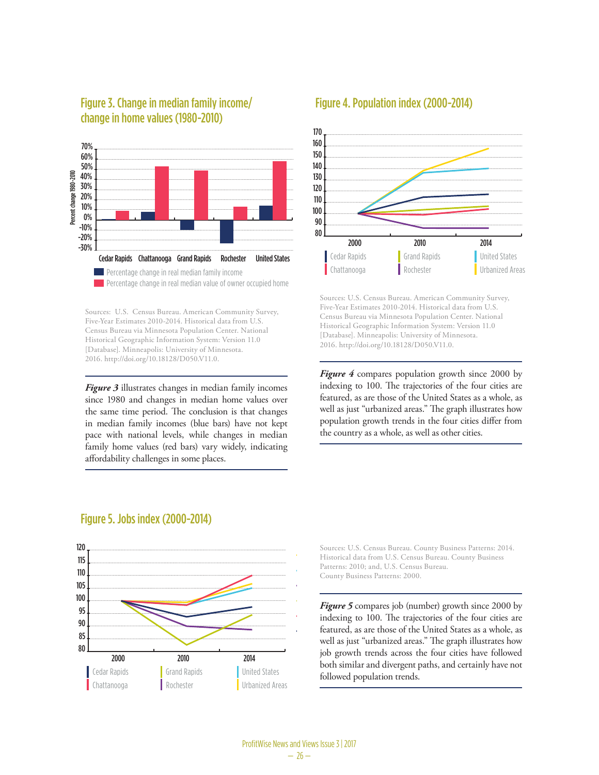

#### Figure 3. Change in median family income/ change in home values (1980-2010)

105 2016. http://doi.org/10.18128/D050.V11.0. 110 Historical Geographic Information System: Version 11.0 Census Bureau via Minnesota Population Center. National 120 Five-Year Estimates 2010-2014. Historical data from U.S. Sources: U.S. Census Bureau. American Community Survey, [Database]. Minneapolis: University of Minnesota.

Framily home values (red bars) vary widely, indicating affordability challenges in some places. 80 in median family incomes (blue bars) have not kept the same time period. The conclusion is that changes since 1980 and changes in median home values over 95 *Figure 3* illustrates changes in median family incomes m median ranny medias (but bars) have not kept<br>pace with national levels, while changes in median

## Figure 4. Population index (2000-2014)



Historical Geographic Information System: Version 11.0 United States 2016. http://doi.org/10.18128/D050.V11.0. Sources: U.S. Census Bureau. American Community Survey, Five-Year Estimates 2010-2014. Historical data from U.S. Census Bureau via Minnesota Population Center. National [Database]. Minneapolis: University of Minnesota.

Rochester

Figure 4 compares population growth since 2000 by indexing to 100. The trajectories of the four cities are reatured, as are those of the Officer States as a whole, as<br>well as just "urbanized areas." The graph illustrates how featured, as are those of the United States as a whole, as population growth trends in the four cities differ from the country as a whole, as well as other cities.



# Figure 5. Jobs index (2000-2014)

Historical data from U.S. Census Bureau. County Business ratterns: 2010; and, O.S. Census<br>County Business Patterns: 2000. Sources: U.S. Census Bureau. County Business Patterns: 2014. Patterns: 2010; and, U.S. Census Bureau.

Figure 5 compares job (number) growth since 2000 by indexing to 100. The trajectories of the four cities are featured, as are those of the United States as a whole, as well as just "urbanized areas." The graph illustrates how job growth trends across the four cities have followed both similar and divergent paths, and certainly have not followed population trends.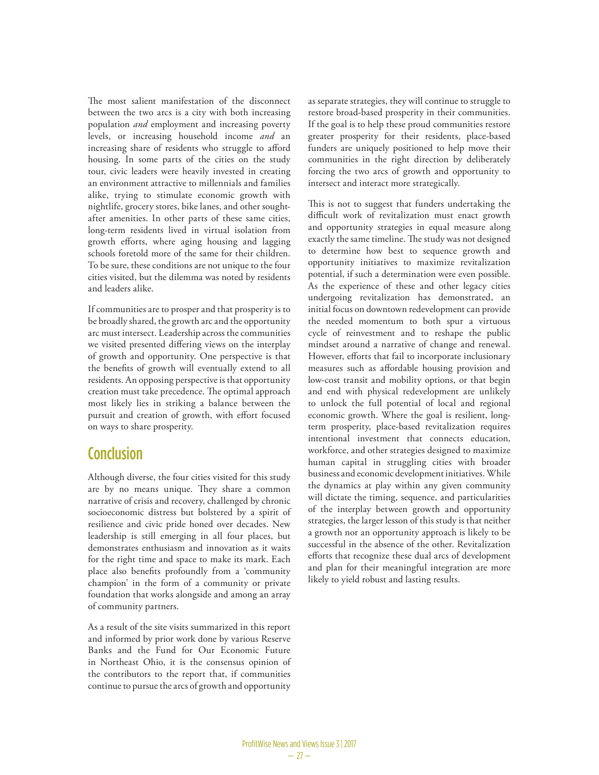The most salient manifestation of the disconnect between the two arcs is a city with both increasing population *and* employment and increasing poverty levels, or increasing household income *and* an increasing share of residents who struggle to afford housing. In some parts of the cities on the study tour, civic leaders were heavily invested in creating an environment attractive to millennials and families alike, trying to stimulate economic growth with nightlife, grocery stores, bike lanes, and other soughtafter amenities. In other parts of these same cities, long-term residents lived in virtual isolation from growth efforts, where aging housing and lagging schools foretold more of the same for their children. To be sure, these conditions are not unique to the four cities visited, but the dilemma was noted by residents and leaders alike.

If communities are to prosper and that prosperity is to be broadly shared, the growth arc and the opportunity arc must intersect. Leadership across the communities we visited presented differing views on the interplay of growth and opportunity. One perspective is that the benefits of growth will eventually extend to all residents. An opposing perspective is that opportunity creation must take precedence. The optimal approach most likely lies in striking a balance between the pursuit and creation of growth, with effort focused on ways to share prosperity.

## Conclusion

Although diverse, the four cities visited for this study are by no means unique. They share a common narrative of crisis and recovery, challenged by chronic socioeconomic distress but bolstered by a spirit of resilience and civic pride honed over decades. New leadership is still emerging in all four places, but demonstrates enthusiasm and innovation as it waits for the right time and space to make its mark. Each place also benefits profoundly from a 'community champion' in the form of a community or private foundation that works alongside and among an array of community partners.

As a result of the site visits summarized in this report and informed by prior work done by various Reserve Banks and the Fund for Our Economic Future in Northeast Ohio, it is the consensus opinion of the contributors to the report that, if communities continue to pursue the arcs of growth and opportunity

as separate strategies, they will continue to struggle to restore broad-based prosperity in their communities. If the goal is to help these proud communities restore greater prosperity for their residents, place-based funders are uniquely positioned to help move their communities in the right direction by deliberately forcing the two arcs of growth and opportunity to intersect and interact more strategically.

This is not to suggest that funders undertaking the difficult work of revitalization must enact growth and opportunity strategies in equal measure along exactly the same timeline. The study was not designed to determine how best to sequence growth and opportunity initiatives to maximize revitalization potential, if such a determination were even possible. As the experience of these and other legacy cities undergoing revitalization has demonstrated, an initial focus on downtown redevelopment can provide the needed momentum to both spur a virtuous cycle of reinvestment and to reshape the public mindset around a narrative of change and renewal. However, efforts that fail to incorporate inclusionary measures such as affordable housing provision and low-cost transit and mobility options, or that begin and end with physical redevelopment are unlikely to unlock the full potential of local and regional economic growth. Where the goal is resilient, longterm prosperity, place-based revitalization requires intentional investment that connects education, workforce, and other strategies designed to maximize human capital in struggling cities with broader business and economic development initiatives. While the dynamics at play within any given community will dictate the timing, sequence, and particularities of the interplay between growth and opportunity strategies, the larger lesson of this study is that neither a growth nor an opportunity approach is likely to be successful in the absence of the other. Revitalization efforts that recognize these dual arcs of development and plan for their meaningful integration are more likely to yield robust and lasting results.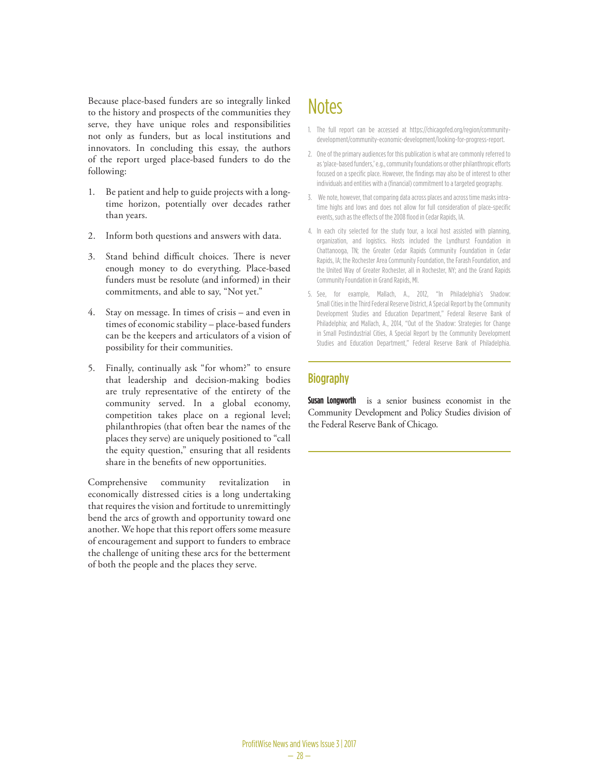Because place-based funders are so integrally linked to the history and prospects of the communities they serve, they have unique roles and responsibilities not only as funders, but as local institutions and innovators. In concluding this essay, the authors of the report urged place-based funders to do the following:

- 1. Be patient and help to guide projects with a longtime horizon, potentially over decades rather than years.
- 2. Inform both questions and answers with data.
- 3. Stand behind difficult choices. There is never enough money to do everything. Place-based funders must be resolute (and informed) in their commitments, and able to say, "Not yet."
- 4. Stay on message. In times of crisis and even in times of economic stability – place-based funders can be the keepers and articulators of a vision of possibility for their communities.
- 5. Finally, continually ask "for whom?" to ensure that leadership and decision-making bodies are truly representative of the entirety of the community served. In a global economy, competition takes place on a regional level; philanthropies (that often bear the names of the places they serve) are uniquely positioned to "call the equity question," ensuring that all residents share in the benefits of new opportunities.

Comprehensive community revitalization in economically distressed cities is a long undertaking that requires the vision and fortitude to unremittingly bend the arcs of growth and opportunity toward one another. We hope that this report offers some measure of encouragement and support to funders to embrace the challenge of uniting these arcs for the betterment of both the people and the places they serve.

# **Notes**

- 1. The full report can be accessed at https://chicagofed.org/region/communitydevelopment/community-economic-development/looking-for-progress-report.
- 2. One of the primary audiences for this publication is what are commonly referred to as 'place-based funders,' e.g., community foundations or other philanthropic efforts focused on a specific place. However, the findings may also be of interest to other individuals and entities with a (financial) commitment to a targeted geography.
- 3. We note, however, that comparing data across places and across time masks intratime highs and lows and does not allow for full consideration of place-specific events, such as the effects of the 2008 flood in Cedar Rapids, IA.
- 4. In each city selected for the study tour, a local host assisted with planning, organization, and logistics. Hosts included the Lyndhurst Foundation in Chattanooga, TN; the Greater Cedar Rapids Community Foundation in Cedar Rapids, IA; the Rochester Area Community Foundation, the Farash Foundation, and the United Way of Greater Rochester, all in Rochester, NY; and the Grand Rapids Community Foundation in Grand Rapids, MI.
- 5. See, for example, Mallach, A., 2012, "In Philadelphia's Shadow: Small Cities in the Third Federal Reserve District, A Special Report by the Community Development Studies and Education Department," Federal Reserve Bank of Philadelphia; and Mallach, A., 2014, "Out of the Shadow: Strategies for Change in Small Postindustrial Cities, A Special Report by the Community Development Studies and Education Department," Federal Reserve Bank of Philadelphia.

#### **Biography**

**Susan Longworth** is a senior business economist in the Community Development and Policy Studies division of the Federal Reserve Bank of Chicago.